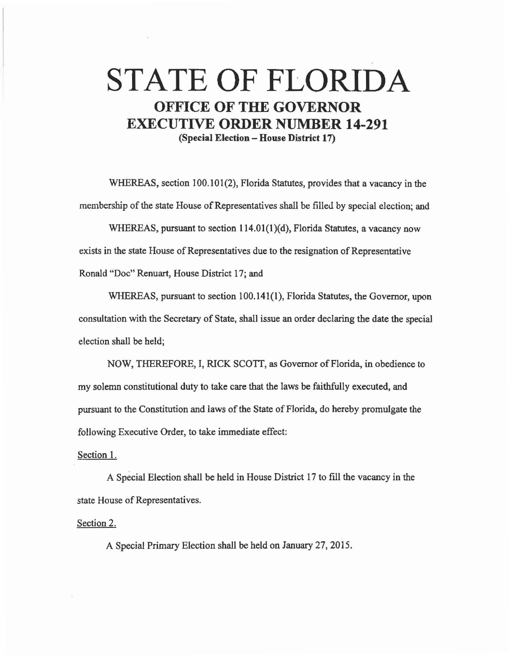## STATE OF FLORIDA OFFICE OF THE GOVERNOR EXECUTIVE ORDER NUMBER 14-291 (Special Election - House District 17)

WHEREAS, section 100.101(2), Florida Statutes, provides that a vacancy in the membership of the state House of Representatives shall be filled by special election; and

WHEREAS, pursuant to section 114.01(1)(d), Florida Statutes, a vacancy now exists in the state House of Representatives due to the resignation of Representative Ronald "Doc" Renuart, House District 17; and

WHEREAS, pursuant to section 100.141(1), Florida Statutes, the Governor, upon consultation with the Secretary of State, shall issue an order declaring the date the special election shall be held;

NOW, THEREFORE, I, RICK SCOTT, as Governor of Florida, in obedience to my solemn constitutional duty to take care that the laws be faithfully executed, and pursuant to the Constitution and laws of the State of Florida, do hereby promulgate the following Executive Order, to take immediate effect:

## Section 1.

A Special Election shall be held in House District 17 to fill the vacancy in the state House of Representatives.

Section 2.

A Special Primary Election shall be held on January 27, 2015.